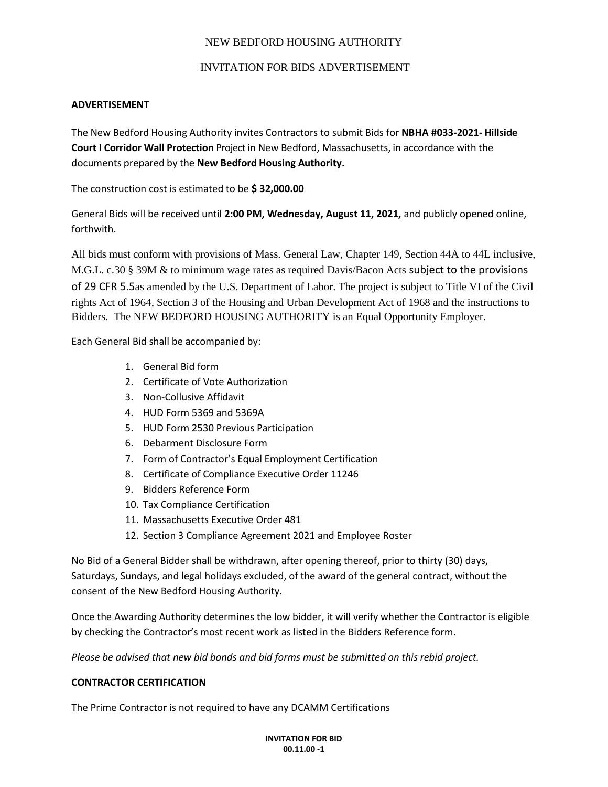# NEW BEDFORD HOUSING AUTHORITY

# INVITATION FOR BIDS ADVERTISEMENT

# **ADVERTISEMENT**

The New Bedford Housing Authority invites Contractors to submit Bids for **NBHA #033-2021- Hillside Court I Corridor Wall Protection** Project in New Bedford, Massachusetts, in accordance with the documents prepared by the **New Bedford Housing Authority.** 

The construction cost is estimated to be **\$ 32,000.00**

General Bids will be received until **2:00 PM, Wednesday, August 11, 2021,** and publicly opened online, forthwith.

All bids must conform with provisions of Mass. General Law, Chapter 149, Section 44A to 44L inclusive, M.G.L. c.30 § 39M & to minimum wage rates as required Davis/Bacon Acts subject to the provisions of 29 CFR 5.5as amended by the U.S. Department of Labor. The project is subject to Title VI of the Civil rights Act of 1964, Section 3 of the Housing and Urban Development Act of 1968 and the instructions to Bidders. The NEW BEDFORD HOUSING AUTHORITY is an Equal Opportunity Employer.

Each General Bid shall be accompanied by:

- 1. General Bid form
- 2. Certificate of Vote Authorization
- 3. Non-Collusive Affidavit
- 4. HUD Form 5369 and 5369A
- 5. HUD Form 2530 Previous Participation
- 6. Debarment Disclosure Form
- 7. Form of Contractor's Equal Employment Certification
- 8. Certificate of Compliance Executive Order 11246
- 9. Bidders Reference Form
- 10. Tax Compliance Certification
- 11. Massachusetts Executive Order 481
- 12. Section 3 Compliance Agreement 2021 and Employee Roster

No Bid of a General Bidder shall be withdrawn, after opening thereof, prior to thirty (30) days, Saturdays, Sundays, and legal holidays excluded, of the award of the general contract, without the consent of the New Bedford Housing Authority.

Once the Awarding Authority determines the low bidder, it will verify whether the Contractor is eligible by checking the Contractor's most recent work as listed in the Bidders Reference form.

*Please be advised that new bid bonds and bid forms must be submitted on this rebid project.* 

# **CONTRACTOR CERTIFICATION**

The Prime Contractor is not required to have any DCAMM Certifications